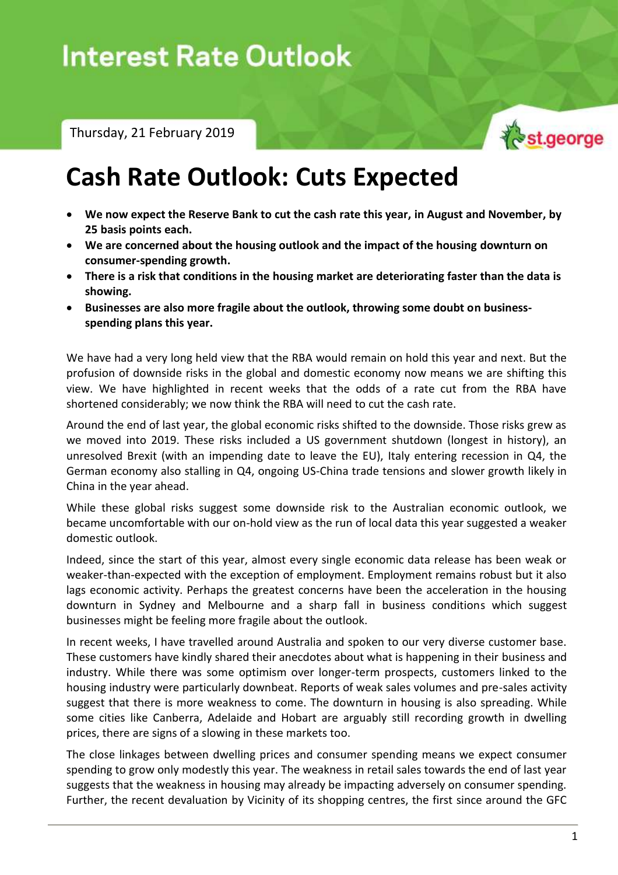# **Interest Rate Outlook**

Thursday, 21 February 2019



## **Cash Rate Outlook: Cuts Expected**

- **We now expect the Reserve Bank to cut the cash rate this year, in August and November, by 25 basis points each.**
- **We are concerned about the housing outlook and the impact of the housing downturn on consumer-spending growth.**
- **There is a risk that conditions in the housing market are deteriorating faster than the data is showing.**
- **Businesses are also more fragile about the outlook, throwing some doubt on businessspending plans this year.**

We have had a very long held view that the RBA would remain on hold this year and next. But the profusion of downside risks in the global and domestic economy now means we are shifting this view. We have highlighted in recent weeks that the odds of a rate cut from the RBA have shortened considerably; we now think the RBA will need to cut the cash rate.

Around the end of last year, the global economic risks shifted to the downside. Those risks grew as we moved into 2019. These risks included a US government shutdown (longest in history), an unresolved Brexit (with an impending date to leave the EU), Italy entering recession in Q4, the German economy also stalling in Q4, ongoing US-China trade tensions and slower growth likely in China in the year ahead.

While these global risks suggest some downside risk to the Australian economic outlook, we became uncomfortable with our on-hold view as the run of local data this year suggested a weaker domestic outlook.

Indeed, since the start of this year, almost every single economic data release has been weak or weaker-than-expected with the exception of employment. Employment remains robust but it also lags economic activity. Perhaps the greatest concerns have been the acceleration in the housing downturn in Sydney and Melbourne and a sharp fall in business conditions which suggest businesses might be feeling more fragile about the outlook.

In recent weeks, I have travelled around Australia and spoken to our very diverse customer base. These customers have kindly shared their anecdotes about what is happening in their business and industry. While there was some optimism over longer-term prospects, customers linked to the housing industry were particularly downbeat. Reports of weak sales volumes and pre-sales activity suggest that there is more weakness to come. The downturn in housing is also spreading. While some cities like Canberra, Adelaide and Hobart are arguably still recording growth in dwelling prices, there are signs of a slowing in these markets too.

The close linkages between dwelling prices and consumer spending means we expect consumer spending to grow only modestly this year. The weakness in retail sales towards the end of last year suggests that the weakness in housing may already be impacting adversely on consumer spending. Further, the recent devaluation by Vicinity of its shopping centres, the first since around the GFC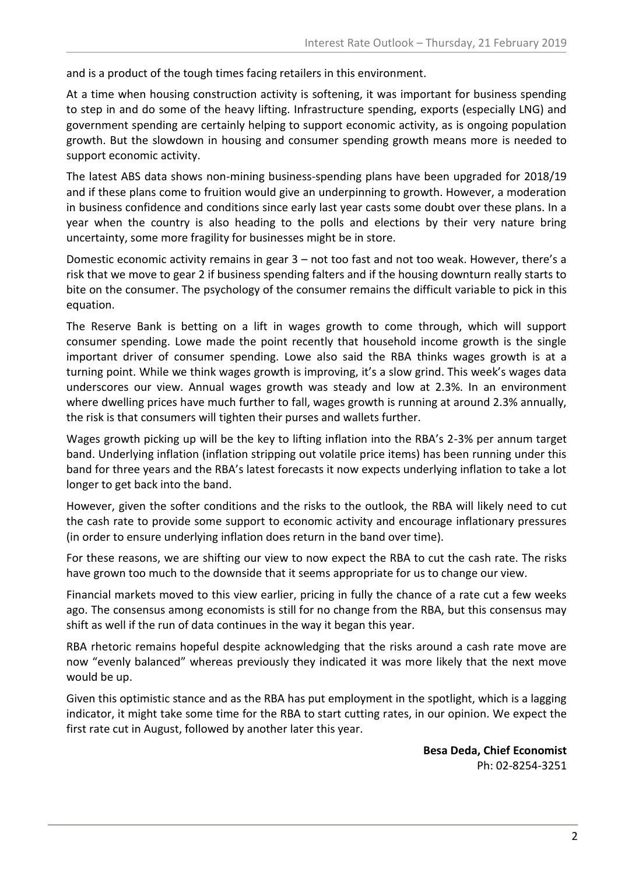and is a product of the tough times facing retailers in this environment.

At a time when housing construction activity is softening, it was important for business spending to step in and do some of the heavy lifting. Infrastructure spending, exports (especially LNG) and government spending are certainly helping to support economic activity, as is ongoing population growth. But the slowdown in housing and consumer spending growth means more is needed to support economic activity.

The latest ABS data shows non-mining business-spending plans have been upgraded for 2018/19 and if these plans come to fruition would give an underpinning to growth. However, a moderation in business confidence and conditions since early last year casts some doubt over these plans. In a year when the country is also heading to the polls and elections by their very nature bring uncertainty, some more fragility for businesses might be in store.

Domestic economic activity remains in gear 3 – not too fast and not too weak. However, there's a risk that we move to gear 2 if business spending falters and if the housing downturn really starts to bite on the consumer. The psychology of the consumer remains the difficult variable to pick in this equation.

The Reserve Bank is betting on a lift in wages growth to come through, which will support consumer spending. Lowe made the point recently that household income growth is the single important driver of consumer spending. Lowe also said the RBA thinks wages growth is at a turning point. While we think wages growth is improving, it's a slow grind. This week's wages data underscores our view. Annual wages growth was steady and low at 2.3%. In an environment where dwelling prices have much further to fall, wages growth is running at around 2.3% annually, the risk is that consumers will tighten their purses and wallets further.

Wages growth picking up will be the key to lifting inflation into the RBA's 2-3% per annum target band. Underlying inflation (inflation stripping out volatile price items) has been running under this band for three years and the RBA's latest forecasts it now expects underlying inflation to take a lot longer to get back into the band.

However, given the softer conditions and the risks to the outlook, the RBA will likely need to cut the cash rate to provide some support to economic activity and encourage inflationary pressures (in order to ensure underlying inflation does return in the band over time).

For these reasons, we are shifting our view to now expect the RBA to cut the cash rate. The risks have grown too much to the downside that it seems appropriate for us to change our view.

Financial markets moved to this view earlier, pricing in fully the chance of a rate cut a few weeks ago. The consensus among economists is still for no change from the RBA, but this consensus may shift as well if the run of data continues in the way it began this year.

RBA rhetoric remains hopeful despite acknowledging that the risks around a cash rate move are now "evenly balanced" whereas previously they indicated it was more likely that the next move would be up.

Given this optimistic stance and as the RBA has put employment in the spotlight, which is a lagging indicator, it might take some time for the RBA to start cutting rates, in our opinion. We expect the first rate cut in August, followed by another later this year.

> **Besa Deda, Chief Economist** Ph: 02-8254-3251